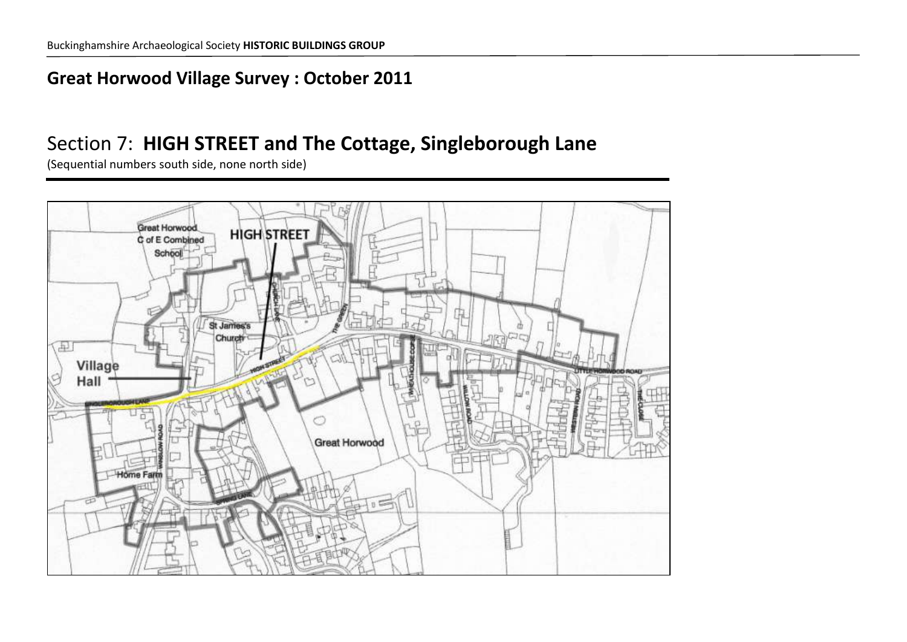#### **Great Horwood Village Survey : October 2011**

### Section 7: **HIGH STREET and The Cottage, Singleborough Lane**

(Sequential numbers south side, none north side)

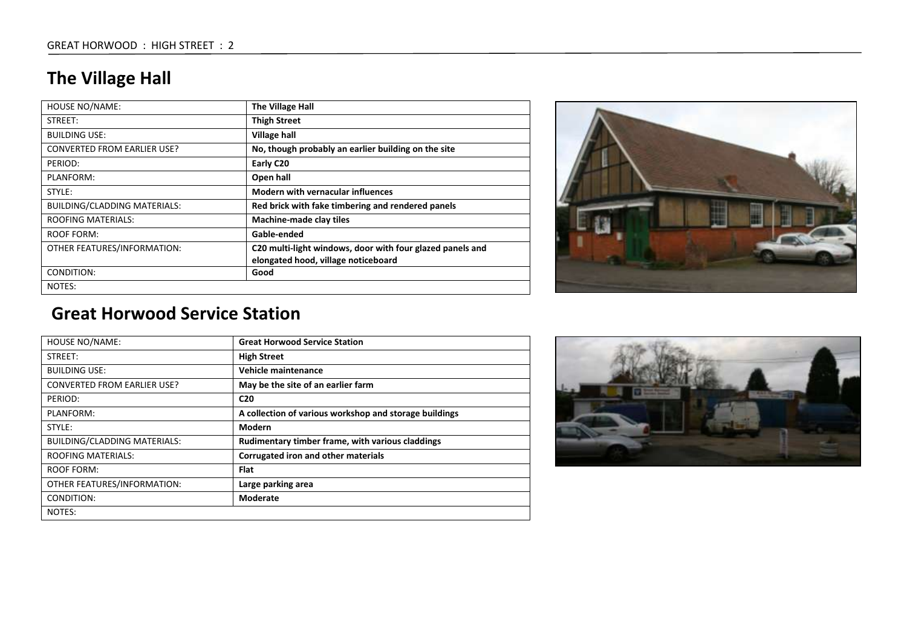## **The Village Hall**

| <b>HOUSE NO/NAME:</b>               | The Village Hall                                          |
|-------------------------------------|-----------------------------------------------------------|
| STREET:                             | <b>Thigh Street</b>                                       |
| <b>BUILDING USE:</b>                | <b>Village hall</b>                                       |
| <b>CONVERTED FROM EARLIER USE?</b>  | No, though probably an earlier building on the site       |
| PERIOD:                             | Early C20                                                 |
| PLANFORM:                           | Open hall                                                 |
| STYLE:                              | <b>Modern with vernacular influences</b>                  |
| <b>BUILDING/CLADDING MATERIALS:</b> | Red brick with fake timbering and rendered panels         |
| <b>ROOFING MATERIALS:</b>           | <b>Machine-made clay tiles</b>                            |
| ROOF FORM:                          | Gable-ended                                               |
| OTHER FEATURES/INFORMATION:         | C20 multi-light windows, door with four glazed panels and |
|                                     | elongated hood, village noticeboard                       |
| CONDITION:                          | Good                                                      |
| NOTES:                              |                                                           |



#### **Great Horwood Service Station**

| <b>HOUSE NO/NAME:</b>               | <b>Great Horwood Service Station</b>                   |
|-------------------------------------|--------------------------------------------------------|
| STREET:                             | <b>High Street</b>                                     |
| <b>BUILDING USE:</b>                | <b>Vehicle maintenance</b>                             |
| <b>CONVERTED FROM EARLIER USE?</b>  | May be the site of an earlier farm                     |
| PERIOD:                             | C <sub>20</sub>                                        |
| PLANFORM:                           | A collection of various workshop and storage buildings |
| STYLE:                              | Modern                                                 |
| <b>BUILDING/CLADDING MATERIALS:</b> | Rudimentary timber frame, with various claddings       |
| <b>ROOFING MATERIALS:</b>           | Corrugated iron and other materials                    |
| ROOF FORM:                          | <b>Flat</b>                                            |
| OTHER FEATURES/INFORMATION:         | Large parking area                                     |
| CONDITION:                          | Moderate                                               |
| NOTES:                              |                                                        |

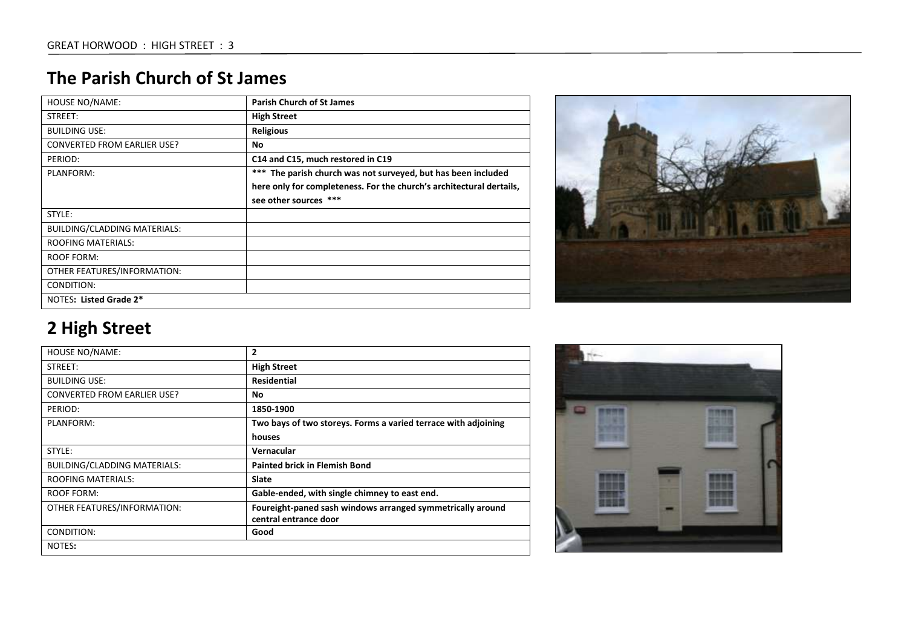#### **The Parish Church of St James**

| <b>HOUSE NO/NAME:</b>               | <b>Parish Church of St James</b>                                     |
|-------------------------------------|----------------------------------------------------------------------|
| STREET:                             | <b>High Street</b>                                                   |
| <b>BUILDING USE:</b>                | <b>Religious</b>                                                     |
| <b>CONVERTED FROM EARLIER USE?</b>  | <b>No</b>                                                            |
| PERIOD:                             | C14 and C15, much restored in C19                                    |
| PLANFORM:                           | *** The parish church was not surveyed, but has been included        |
|                                     | here only for completeness. For the church's architectural dertails, |
|                                     | see other sources ***                                                |
| STYLE:                              |                                                                      |
| <b>BUILDING/CLADDING MATERIALS:</b> |                                                                      |
| <b>ROOFING MATERIALS:</b>           |                                                                      |
| <b>ROOF FORM:</b>                   |                                                                      |
| OTHER FEATURES/INFORMATION:         |                                                                      |
| CONDITION:                          |                                                                      |
| NOTES: Listed Grade 2*              |                                                                      |

| <b>HOUSE NO/NAME:</b>               | 2                                                              |
|-------------------------------------|----------------------------------------------------------------|
| STREET:                             | <b>High Street</b>                                             |
| <b>BUILDING USE:</b>                | <b>Residential</b>                                             |
| <b>CONVERTED FROM EARLIER USE?</b>  | No.                                                            |
| PERIOD:                             | 1850-1900                                                      |
| PLANFORM:                           | Two bays of two storeys. Forms a varied terrace with adjoining |
|                                     | houses                                                         |
| STYLE:                              | Vernacular                                                     |
| <b>BUILDING/CLADDING MATERIALS:</b> | <b>Painted brick in Flemish Bond</b>                           |
| <b>ROOFING MATERIALS:</b>           | Slate                                                          |
| ROOF FORM:                          | Gable-ended, with single chimney to east end.                  |
| OTHER FEATURES/INFORMATION:         | Foureight-paned sash windows arranged symmetrically around     |
|                                     | central entrance door                                          |
| CONDITION:                          | Good                                                           |
| NOTES:                              |                                                                |



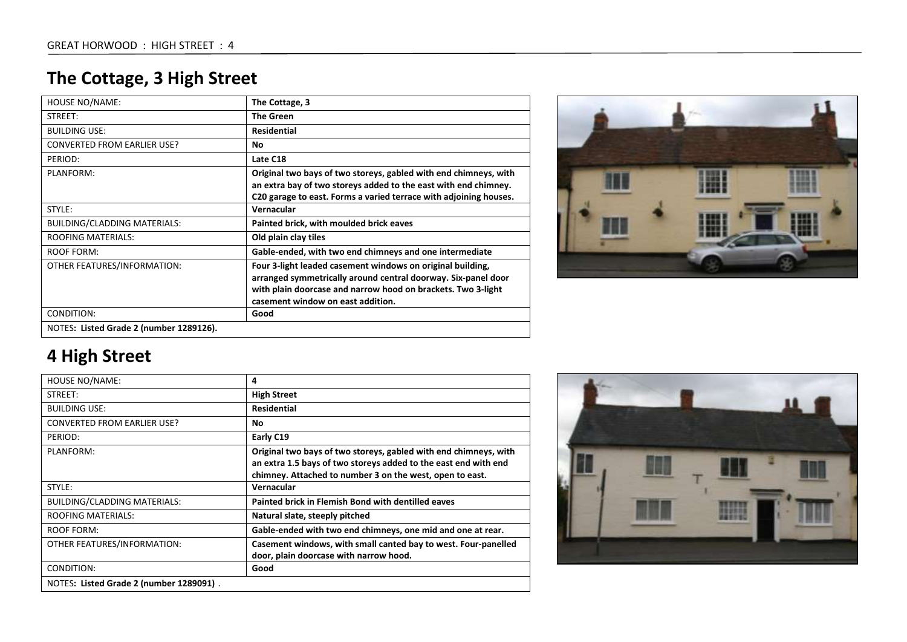## **The Cottage, 3 High Street**

| <b>HOUSE NO/NAME:</b>                   | The Cottage, 3                                                                                                                                                                                                                   |
|-----------------------------------------|----------------------------------------------------------------------------------------------------------------------------------------------------------------------------------------------------------------------------------|
| STREET:                                 | <b>The Green</b>                                                                                                                                                                                                                 |
| <b>BUILDING USE:</b>                    | <b>Residential</b>                                                                                                                                                                                                               |
| <b>CONVERTED FROM EARLIER USE?</b>      | No                                                                                                                                                                                                                               |
| PERIOD:                                 | Late C18                                                                                                                                                                                                                         |
| PLANFORM:                               | Original two bays of two storeys, gabled with end chimneys, with<br>an extra bay of two storeys added to the east with end chimney.<br>C20 garage to east. Forms a varied terrace with adjoining houses.                         |
| STYLE:                                  | Vernacular                                                                                                                                                                                                                       |
| BUILDING/CLADDING MATERIALS:            | Painted brick, with moulded brick eaves                                                                                                                                                                                          |
| <b>ROOFING MATERIALS:</b>               | Old plain clay tiles                                                                                                                                                                                                             |
| <b>ROOF FORM:</b>                       | Gable-ended, with two end chimneys and one intermediate                                                                                                                                                                          |
| OTHER FEATURES/INFORMATION:             | Four 3-light leaded casement windows on original building,<br>arranged symmetrically around central doorway. Six-panel door<br>with plain doorcase and narrow hood on brackets. Two 3-light<br>casement window on east addition. |
| CONDITION:                              | Good                                                                                                                                                                                                                             |
| NOTES: Listed Grade 2 (number 1289126). |                                                                                                                                                                                                                                  |



| HOUSE NO/NAME:                      | 4                                                                                                                                                                                               |
|-------------------------------------|-------------------------------------------------------------------------------------------------------------------------------------------------------------------------------------------------|
| STREET:                             | <b>High Street</b>                                                                                                                                                                              |
| <b>BUILDING USE:</b>                | <b>Residential</b>                                                                                                                                                                              |
| <b>CONVERTED FROM EARLIER USE?</b>  | No.                                                                                                                                                                                             |
| PERIOD:                             | Early C19                                                                                                                                                                                       |
| PLANFORM:                           | Original two bays of two storeys, gabled with end chimneys, with<br>an extra 1.5 bays of two storeys added to the east end with end<br>chimney. Attached to number 3 on the west, open to east. |
| STYLE:                              | Vernacular                                                                                                                                                                                      |
|                                     |                                                                                                                                                                                                 |
| <b>BUILDING/CLADDING MATERIALS:</b> | Painted brick in Flemish Bond with dentilled eaves                                                                                                                                              |
| <b>ROOFING MATERIALS:</b>           | Natural slate, steeply pitched                                                                                                                                                                  |
| <b>ROOF FORM:</b>                   | Gable-ended with two end chimneys, one mid and one at rear.                                                                                                                                     |
| OTHER FEATURES/INFORMATION:         | Casement windows, with small canted bay to west. Four-panelled<br>door, plain doorcase with narrow hood.                                                                                        |
| CONDITION:                          | Good                                                                                                                                                                                            |

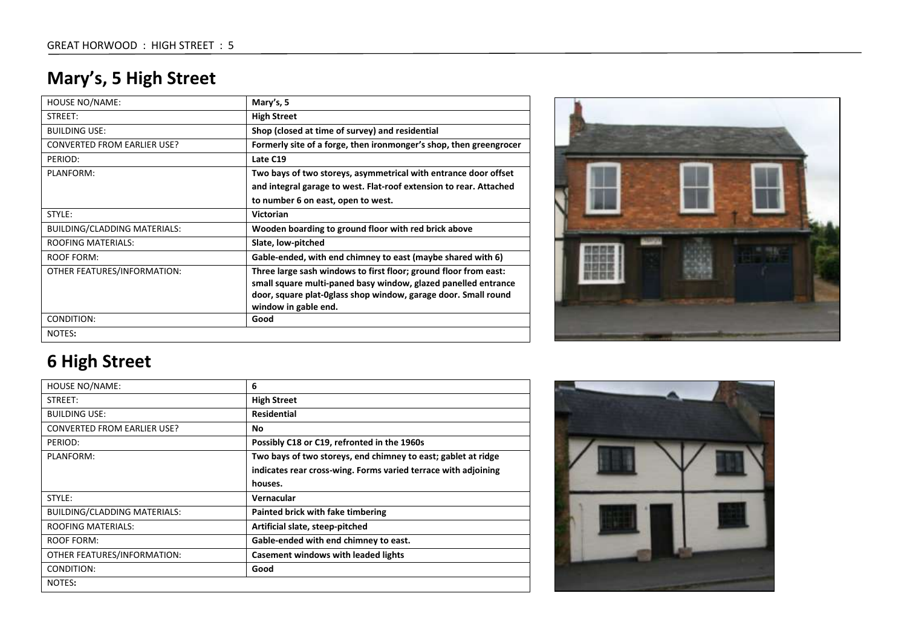## **Mary's, 5 High Street**

| <b>HOUSE NO/NAME:</b>              | Mary's, 5                                                                                                                                                                                                                    |
|------------------------------------|------------------------------------------------------------------------------------------------------------------------------------------------------------------------------------------------------------------------------|
| STREET:                            | <b>High Street</b>                                                                                                                                                                                                           |
| <b>BUILDING USE:</b>               | Shop (closed at time of survey) and residential                                                                                                                                                                              |
| <b>CONVERTED FROM EARLIER USE?</b> | Formerly site of a forge, then ironmonger's shop, then greengrocer                                                                                                                                                           |
| PERIOD:                            | Late C19                                                                                                                                                                                                                     |
| PLANFORM:                          | Two bays of two storeys, asymmetrical with entrance door offset                                                                                                                                                              |
|                                    | and integral garage to west. Flat-roof extension to rear. Attached                                                                                                                                                           |
|                                    | to number 6 on east, open to west.                                                                                                                                                                                           |
| STYLE:                             | <b>Victorian</b>                                                                                                                                                                                                             |
| BUILDING/CLADDING MATERIALS:       | Wooden boarding to ground floor with red brick above                                                                                                                                                                         |
| <b>ROOFING MATERIALS:</b>          | Slate, low-pitched                                                                                                                                                                                                           |
| ROOF FORM:                         | Gable-ended, with end chimney to east (maybe shared with 6)                                                                                                                                                                  |
| OTHER FEATURES/INFORMATION:        | Three large sash windows to first floor; ground floor from east:<br>small square multi-paned basy window, glazed panelled entrance<br>door, square plat-0glass shop window, garage door. Small round<br>window in gable end. |
| CONDITION:                         | Good                                                                                                                                                                                                                         |
| NOTES:                             |                                                                                                                                                                                                                              |



| <b>HOUSE NO/NAME:</b>               | 6                                                              |
|-------------------------------------|----------------------------------------------------------------|
| STREET:                             | <b>High Street</b>                                             |
| <b>BUILDING USE:</b>                | <b>Residential</b>                                             |
| <b>CONVERTED FROM EARLIER USE?</b>  | No.                                                            |
| PERIOD:                             | Possibly C18 or C19, refronted in the 1960s                    |
| PLANFORM:                           | Two bays of two storeys, end chimney to east; gablet at ridge  |
|                                     | indicates rear cross-wing. Forms varied terrace with adjoining |
|                                     | houses.                                                        |
| STYLE:                              | Vernacular                                                     |
| <b>BUILDING/CLADDING MATERIALS:</b> | Painted brick with fake timbering                              |
| <b>ROOFING MATERIALS:</b>           | Artificial slate, steep-pitched                                |
| ROOF FORM:                          | Gable-ended with end chimney to east.                          |
| OTHER FEATURES/INFORMATION:         | <b>Casement windows with leaded lights</b>                     |
| CONDITION:                          | Good                                                           |
| NOTES:                              |                                                                |

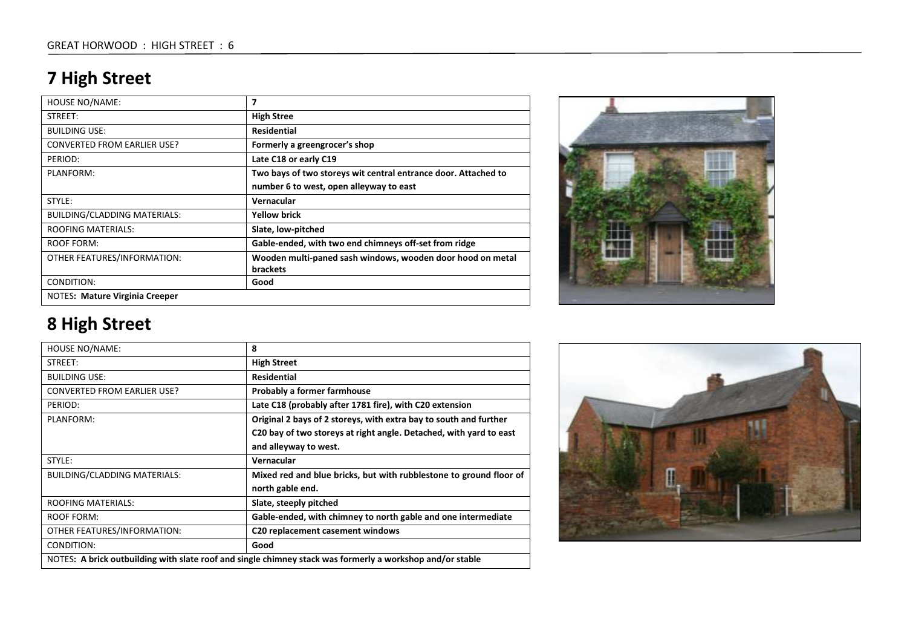## **7 High Street**

| <b>HOUSE NO/NAME:</b>               | 7                                                              |
|-------------------------------------|----------------------------------------------------------------|
| STREET:                             | <b>High Stree</b>                                              |
| <b>BUILDING USE:</b>                | <b>Residential</b>                                             |
| <b>CONVERTED FROM EARLIER USE?</b>  | Formerly a greengrocer's shop                                  |
| PERIOD:                             | Late C18 or early C19                                          |
| PLANFORM:                           | Two bays of two storeys wit central entrance door. Attached to |
|                                     | number 6 to west, open alleyway to east                        |
| STYLE:                              | Vernacular                                                     |
| <b>BUILDING/CLADDING MATERIALS:</b> | <b>Yellow brick</b>                                            |
| <b>ROOFING MATERIALS:</b>           | Slate, low-pitched                                             |
| <b>ROOF FORM:</b>                   | Gable-ended, with two end chimneys off-set from ridge          |
| OTHER FEATURES/INFORMATION:         | Wooden multi-paned sash windows, wooden door hood on metal     |
|                                     | <b>brackets</b>                                                |
| CONDITION:                          | Good                                                           |
| NOTES: Mature Virginia Creeper      |                                                                |



| <b>HOUSE NO/NAME:</b>                                                                                     | 8                                                                  |
|-----------------------------------------------------------------------------------------------------------|--------------------------------------------------------------------|
| STREET:                                                                                                   | <b>High Street</b>                                                 |
| <b>BUILDING USE:</b>                                                                                      | <b>Residential</b>                                                 |
| <b>CONVERTED FROM EARLIER USE?</b>                                                                        | <b>Probably a former farmhouse</b>                                 |
| PERIOD:                                                                                                   | Late C18 (probably after 1781 fire), with C20 extension            |
| PLANFORM:                                                                                                 | Original 2 bays of 2 storeys, with extra bay to south and further  |
|                                                                                                           | C20 bay of two storeys at right angle. Detached, with yard to east |
|                                                                                                           | and alleyway to west.                                              |
| STYLE:                                                                                                    | Vernacular                                                         |
| BUILDING/CLADDING MATERIALS:                                                                              | Mixed red and blue bricks, but with rubblestone to ground floor of |
|                                                                                                           | north gable end.                                                   |
| <b>ROOFING MATERIALS:</b>                                                                                 | Slate, steeply pitched                                             |
| ROOF FORM:                                                                                                | Gable-ended, with chimney to north gable and one intermediate      |
| OTHER FEATURES/INFORMATION:                                                                               | C <sub>20</sub> replacement casement windows                       |
| CONDITION:                                                                                                | Good                                                               |
| NOTES: A brick outbuilding with slate roof and single chimney stack was formerly a workshop and/or stable |                                                                    |

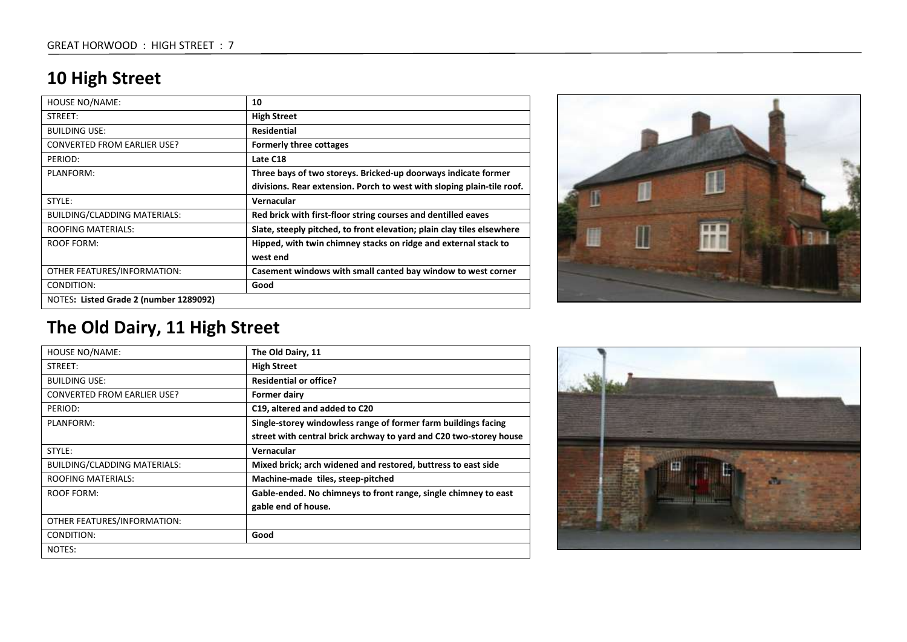### **10 High Street**

| <b>HOUSE NO/NAME:</b>                  | 10                                                                     |
|----------------------------------------|------------------------------------------------------------------------|
| STREET:                                | <b>High Street</b>                                                     |
| <b>BUILDING USE:</b>                   | <b>Residential</b>                                                     |
| CONVERTED FROM EARLIER USE?            | <b>Formerly three cottages</b>                                         |
| PERIOD:                                | Late C18                                                               |
| PLANFORM:                              | Three bays of two storeys. Bricked-up doorways indicate former         |
|                                        | divisions. Rear extension. Porch to west with sloping plain-tile roof. |
| STYLE:                                 | Vernacular                                                             |
| <b>BUILDING/CLADDING MATERIALS:</b>    | Red brick with first-floor string courses and dentilled eaves          |
| <b>ROOFING MATERIALS:</b>              | Slate, steeply pitched, to front elevation; plain clay tiles elsewhere |
| ROOF FORM:                             | Hipped, with twin chimney stacks on ridge and external stack to        |
|                                        | west end                                                               |
| OTHER FEATURES/INFORMATION:            | Casement windows with small canted bay window to west corner           |
| CONDITION:                             | Good                                                                   |
| NOTES: Listed Grade 2 (number 1289092) |                                                                        |



## **The Old Dairy, 11 High Street**

| HOUSE NO/NAME:                     | The Old Dairy, 11                                                  |
|------------------------------------|--------------------------------------------------------------------|
| STREET:                            | <b>High Street</b>                                                 |
| <b>BUILDING USE:</b>               | <b>Residential or office?</b>                                      |
| <b>CONVERTED FROM EARLIER USE?</b> | <b>Former dairy</b>                                                |
| PERIOD:                            | C19, altered and added to C20                                      |
| PLANFORM:                          | Single-storey windowless range of former farm buildings facing     |
|                                    | street with central brick archway to yard and C20 two-storey house |
| STYLE:                             | Vernacular                                                         |
| BUILDING/CLADDING MATERIALS:       | Mixed brick; arch widened and restored, buttress to east side      |
| <b>ROOFING MATERIALS:</b>          | Machine-made tiles, steep-pitched                                  |
| <b>ROOF FORM:</b>                  | Gable-ended. No chimneys to front range, single chimney to east    |
|                                    | gable end of house.                                                |
| OTHER FEATURES/INFORMATION:        |                                                                    |
| CONDITION:                         | Good                                                               |
| NOTES:                             |                                                                    |

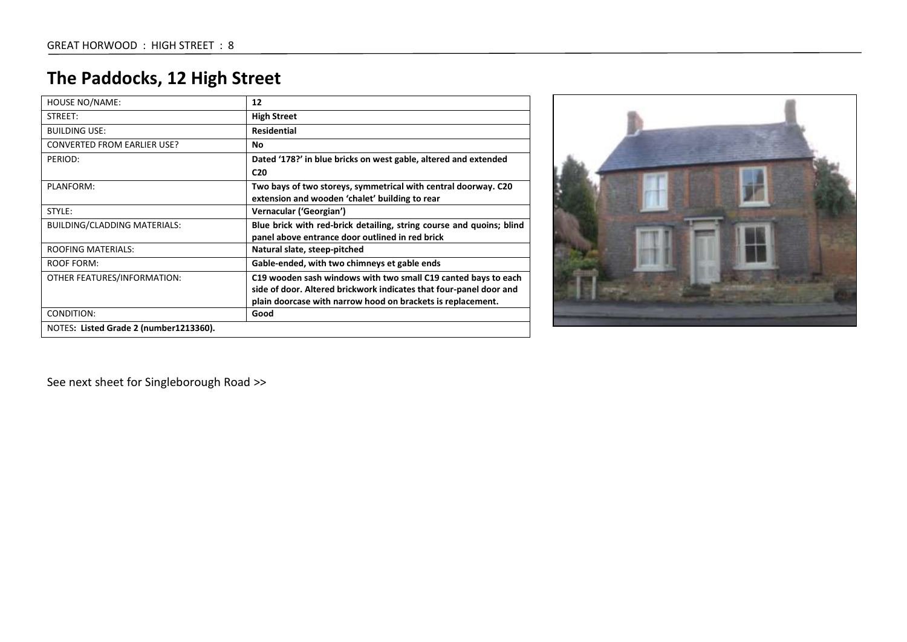## **The Paddocks, 12 High Street**

| <b>HOUSE NO/NAME:</b>                  | 12                                                                   |
|----------------------------------------|----------------------------------------------------------------------|
| STREET:                                | <b>High Street</b>                                                   |
| <b>BUILDING USE:</b>                   | <b>Residential</b>                                                   |
| <b>CONVERTED FROM EARLIER USE?</b>     | No                                                                   |
| PERIOD:                                | Dated '178?' in blue bricks on west gable, altered and extended      |
|                                        | C <sub>20</sub>                                                      |
| PLANFORM:                              | Two bays of two storeys, symmetrical with central doorway. C20       |
|                                        | extension and wooden 'chalet' building to rear                       |
| STYLE:                                 | Vernacular ('Georgian')                                              |
| <b>BUILDING/CLADDING MATERIALS:</b>    | Blue brick with red-brick detailing, string course and quoins; blind |
|                                        | panel above entrance door outlined in red brick                      |
| <b>ROOFING MATERIALS:</b>              | Natural slate, steep-pitched                                         |
| ROOF FORM:                             | Gable-ended, with two chimneys et gable ends                         |
| OTHER FEATURES/INFORMATION:            | C19 wooden sash windows with two small C19 canted bays to each       |
|                                        | side of door. Altered brickwork indicates that four-panel door and   |
|                                        | plain doorcase with narrow hood on brackets is replacement.          |
| CONDITION:                             | Good                                                                 |
| NOTES: Listed Grade 2 (number1213360). |                                                                      |



See next sheet for Singleborough Road >>